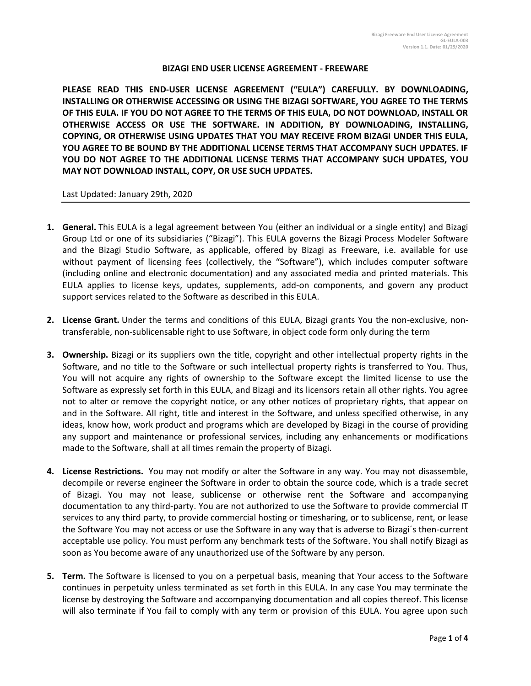## **BIZAGI END USER LICENSE AGREEMENT - FREEWARE**

**PLEASE READ THIS END-USER LICENSE AGREEMENT ("EULA") CAREFULLY. BY DOWNLOADING, INSTALLING OR OTHERWISE ACCESSING OR USING THE BIZAGI SOFTWARE, YOU AGREE TO THE TERMS OF THIS EULA. IF YOU DO NOT AGREE TO THE TERMS OF THIS EULA, DO NOT DOWNLOAD, INSTALL OR OTHERWISE ACCESS OR USE THE SOFTWARE. IN ADDITION, BY DOWNLOADING, INSTALLING, COPYING, OR OTHERWISE USING UPDATES THAT YOU MAY RECEIVE FROM BIZAGI UNDER THIS EULA, YOU AGREE TO BE BOUND BY THE ADDITIONAL LICENSE TERMS THAT ACCOMPANY SUCH UPDATES. IF YOU DO NOT AGREE TO THE ADDITIONAL LICENSE TERMS THAT ACCOMPANY SUCH UPDATES, YOU MAY NOT DOWNLOAD INSTALL, COPY, OR USE SUCH UPDATES.** 

Last Updated: January 29th, 2020

- **1. General.** This EULA is a legal agreement between You (either an individual or a single entity) and Bizagi Group Ltd or one of its subsidiaries ("Bizagi"). This EULA governs the Bizagi Process Modeler Software and the Bizagi Studio Software, as applicable, offered by Bizagi as Freeware, i.e. available for use without payment of licensing fees (collectively, the "Software"), which includes computer software (including online and electronic documentation) and any associated media and printed materials. This EULA applies to license keys, updates, supplements, add-on components, and govern any product support services related to the Software as described in this EULA.
- **2. License Grant.** Under the terms and conditions of this EULA, Bizagi grants You the non-exclusive, nontransferable, non-sublicensable right to use Software, in object code form only during the term
- **3. Ownership.** Bizagi or its suppliers own the title, copyright and other intellectual property rights in the Software, and no title to the Software or such intellectual property rights is transferred to You. Thus, You will not acquire any rights of ownership to the Software except the limited license to use the Software as expressly set forth in this EULA, and Bizagi and its licensors retain all other rights. You agree not to alter or remove the copyright notice, or any other notices of proprietary rights, that appear on and in the Software. All right, title and interest in the Software, and unless specified otherwise, in any ideas, know how, work product and programs which are developed by Bizagi in the course of providing any support and maintenance or professional services, including any enhancements or modifications made to the Software, shall at all times remain the property of Bizagi.
- **4. License Restrictions.** You may not modify or alter the Software in any way. You may not disassemble, decompile or reverse engineer the Software in order to obtain the source code, which is a trade secret of Bizagi. You may not lease, sublicense or otherwise rent the Software and accompanying documentation to any third-party. You are not authorized to use the Software to provide commercial IT services to any third party, to provide commercial hosting or timesharing, or to sublicense, rent, or lease the Software You may not access or use the Software in any way that is adverse to Bizagi´s then-current acceptable use policy. You must perform any benchmark tests of the Software. You shall notify Bizagi as soon as You become aware of any unauthorized use of the Software by any person.
- **5. Term.** The Software is licensed to you on a perpetual basis, meaning that Your access to the Software continues in perpetuity unless terminated as set forth in this EULA. In any case You may terminate the license by destroying the Software and accompanying documentation and all copies thereof. This license will also terminate if You fail to comply with any term or provision of this EULA. You agree upon such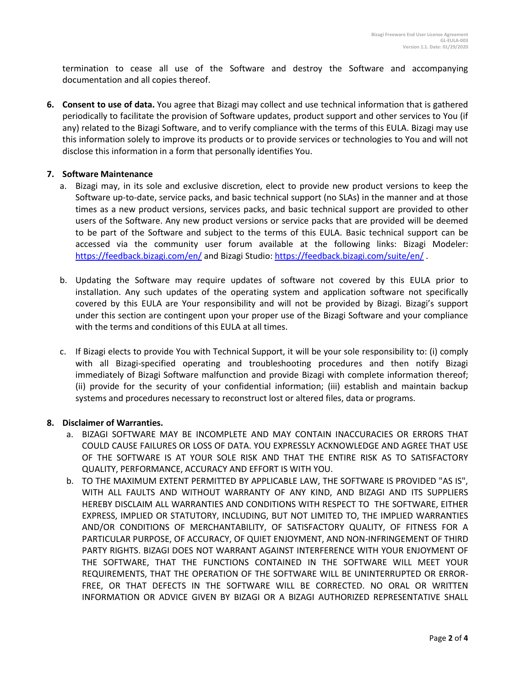termination to cease all use of the Software and destroy the Software and accompanying documentation and all copies thereof.

**6. Consent to use of data.** You agree that Bizagi may collect and use technical information that is gathered periodically to facilitate the provision of Software updates, product support and other services to You (if any) related to the Bizagi Software, and to verify compliance with the terms of this EULA. Bizagi may use this information solely to improve its products or to provide services or technologies to You and will not disclose this information in a form that personally identifies You.

## **7. Software Maintenance**

- a. Bizagi may, in its sole and exclusive discretion, elect to provide new product versions to keep the Software up-to-date, service packs, and basic technical support (no SLAs) in the manner and at those times as a new product versions, services packs, and basic technical support are provided to other users of the Software. Any new product versions or service packs that are provided will be deemed to be part of the Software and subject to the terms of this EULA. Basic technical support can be accessed via the community user forum available at the following links: Bizagi Modeler: <https://feedback.bizagi.com/en/> and Bizagi Studio:<https://feedback.bizagi.com/suite/en/> .
- b. Updating the Software may require updates of software not covered by this EULA prior to installation. Any such updates of the operating system and application software not specifically covered by this EULA are Your responsibility and will not be provided by Bizagi. Bizagi's support under this section are contingent upon your proper use of the Bizagi Software and your compliance with the terms and conditions of this EULA at all times.
- c. If Bizagi elects to provide You with Technical Support, it will be your sole responsibility to: (i) comply with all Bizagi-specified operating and troubleshooting procedures and then notify Bizagi immediately of Bizagi Software malfunction and provide Bizagi with complete information thereof; (ii) provide for the security of your confidential information; (iii) establish and maintain backup systems and procedures necessary to reconstruct lost or altered files, data or programs.

## **8. Disclaimer of Warranties.**

- a. BIZAGI SOFTWARE MAY BE INCOMPLETE AND MAY CONTAIN INACCURACIES OR ERRORS THAT COULD CAUSE FAILURES OR LOSS OF DATA. YOU EXPRESSLY ACKNOWLEDGE AND AGREE THAT USE OF THE SOFTWARE IS AT YOUR SOLE RISK AND THAT THE ENTIRE RISK AS TO SATISFACTORY QUALITY, PERFORMANCE, ACCURACY AND EFFORT IS WITH YOU.
- b. TO THE MAXIMUM EXTENT PERMITTED BY APPLICABLE LAW, THE SOFTWARE IS PROVIDED "AS IS", WITH ALL FAULTS AND WITHOUT WARRANTY OF ANY KIND, AND BIZAGI AND ITS SUPPLIERS HEREBY DISCLAIM ALL WARRANTIES AND CONDITIONS WITH RESPECT TO THE SOFTWARE, EITHER EXPRESS, IMPLIED OR STATUTORY, INCLUDING, BUT NOT LIMITED TO, THE IMPLIED WARRANTIES AND/OR CONDITIONS OF MERCHANTABILITY, OF SATISFACTORY QUALITY, OF FITNESS FOR A PARTICULAR PURPOSE, OF ACCURACY, OF QUIET ENJOYMENT, AND NON-INFRINGEMENT OF THIRD PARTY RIGHTS. BIZAGI DOES NOT WARRANT AGAINST INTERFERENCE WITH YOUR ENJOYMENT OF THE SOFTWARE, THAT THE FUNCTIONS CONTAINED IN THE SOFTWARE WILL MEET YOUR REQUIREMENTS, THAT THE OPERATION OF THE SOFTWARE WILL BE UNINTERRUPTED OR ERROR-FREE, OR THAT DEFECTS IN THE SOFTWARE WILL BE CORRECTED. NO ORAL OR WRITTEN INFORMATION OR ADVICE GIVEN BY BIZAGI OR A BIZAGI AUTHORIZED REPRESENTATIVE SHALL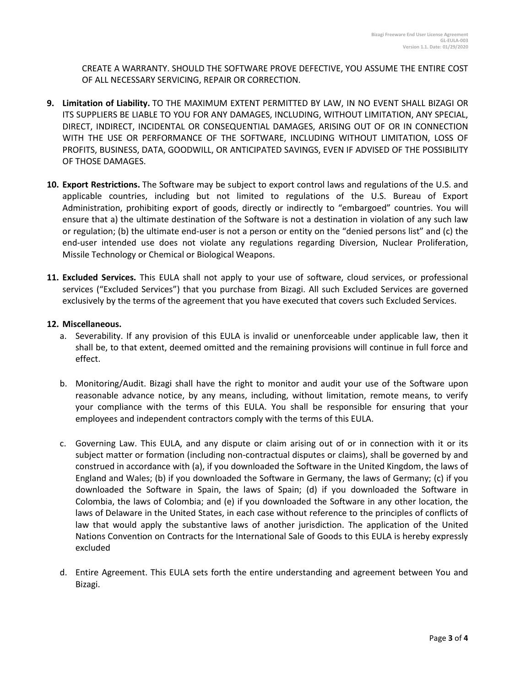CREATE A WARRANTY. SHOULD THE SOFTWARE PROVE DEFECTIVE, YOU ASSUME THE ENTIRE COST OF ALL NECESSARY SERVICING, REPAIR OR CORRECTION.

- **9. Limitation of Liability.** TO THE MAXIMUM EXTENT PERMITTED BY LAW, IN NO EVENT SHALL BIZAGI OR ITS SUPPLIERS BE LIABLE TO YOU FOR ANY DAMAGES, INCLUDING, WITHOUT LIMITATION, ANY SPECIAL, DIRECT, INDIRECT, INCIDENTAL OR CONSEQUENTIAL DAMAGES, ARISING OUT OF OR IN CONNECTION WITH THE USE OR PERFORMANCE OF THE SOFTWARE, INCLUDING WITHOUT LIMITATION, LOSS OF PROFITS, BUSINESS, DATA, GOODWILL, OR ANTICIPATED SAVINGS, EVEN IF ADVISED OF THE POSSIBILITY OF THOSE DAMAGES.
- **10. Export Restrictions.** The Software may be subject to export control laws and regulations of the U.S. and applicable countries, including but not limited to regulations of the U.S. Bureau of Export Administration, prohibiting export of goods, directly or indirectly to "embargoed" countries. You will ensure that a) the ultimate destination of the Software is not a destination in violation of any such law or regulation; (b) the ultimate end-user is not a person or entity on the "denied persons list" and (c) the end-user intended use does not violate any regulations regarding Diversion, Nuclear Proliferation, Missile Technology or Chemical or Biological Weapons.
- **11. Excluded Services.** This EULA shall not apply to your use of software, cloud services, or professional services ("Excluded Services") that you purchase from Bizagi. All such Excluded Services are governed exclusively by the terms of the agreement that you have executed that covers such Excluded Services.

## **12. Miscellaneous.**

- a. Severability. If any provision of this EULA is invalid or unenforceable under applicable law, then it shall be, to that extent, deemed omitted and the remaining provisions will continue in full force and effect.
- b. Monitoring/Audit. Bizagi shall have the right to monitor and audit your use of the Software upon reasonable advance notice, by any means, including, without limitation, remote means, to verify your compliance with the terms of this EULA. You shall be responsible for ensuring that your employees and independent contractors comply with the terms of this EULA.
- c. Governing Law. This EULA, and any dispute or claim arising out of or in connection with it or its subject matter or formation (including non-contractual disputes or claims), shall be governed by and construed in accordance with (a), if you downloaded the Software in the United Kingdom, the laws of England and Wales; (b) if you downloaded the Software in Germany, the laws of Germany; (c) if you downloaded the Software in Spain, the laws of Spain; (d) if you downloaded the Software in Colombia, the laws of Colombia; and (e) if you downloaded the Software in any other location, the laws of Delaware in the United States, in each case without reference to the principles of conflicts of law that would apply the substantive laws of another jurisdiction. The application of the United Nations Convention on Contracts for the International Sale of Goods to this EULA is hereby expressly excluded
- d. Entire Agreement. This EULA sets forth the entire understanding and agreement between You and Bizagi.